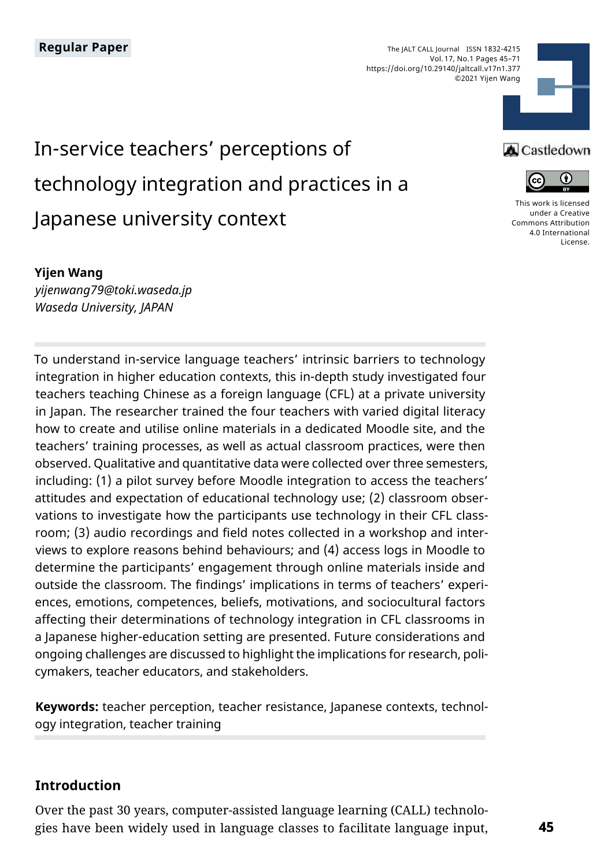The JALT CALL Journal ISSN 1832-4215 Vol. 17, No.1 Pages 45–71 https://doi.org/10.29140/jaltcall.v17n1.377 ©2021 Yijen Wang



# In-service teachers' perceptions of technology integration and practices in a Japanese university context

#### **Yijen Wang**

*yijenwang79@toki.waseda.jp Waseda University, JAPAN*

To understand in-service language teachers' intrinsic barriers to technology integration in higher education contexts, this in-depth study investigated four teachers teaching Chinese as a foreign language (CFL) at a private university in Japan. The researcher trained the four teachers with varied digital literacy how to create and utilise online materials in a dedicated Moodle site, and the teachers' training processes, as well as actual classroom practices, were then observed. Qualitative and quantitative data were collected over three semesters, including: (1) a pilot survey before Moodle integration to access the teachers' attitudes and expectation of educational technology use; (2) classroom observations to investigate how the participants use technology in their CFL classroom; (3) audio recordings and field notes collected in a workshop and interviews to explore reasons behind behaviours; and (4) access logs in Moodle to determine the participants' engagement through online materials inside and outside the classroom. The findings' implications in terms of teachers' experiences, emotions, competences, beliefs, motivations, and sociocultural factors affecting their determinations of technology integration in CFL classrooms in a Japanese higher-education setting are presented. Future considerations and ongoing challenges are discussed to highlight the implications for research, policymakers, teacher educators, and stakeholders.

**Keywords:** teacher perception, teacher resistance, Japanese contexts, technology integration, teacher training

# **Introduction**

Over the past 30 years, computer-assisted language learning (CALL) technologies have been widely used in language classes to facilitate language input,

# **A** Castledown



[This work is licensed](https://creativecommons.org/licenses/by/4.0/)  [under a Creative](https://creativecommons.org/licenses/by/4.0/)  [Commons Attribution](https://creativecommons.org/licenses/by/4.0/)  [4.0 International](https://creativecommons.org/licenses/by/4.0/)  [License](https://creativecommons.org/licenses/by/4.0/).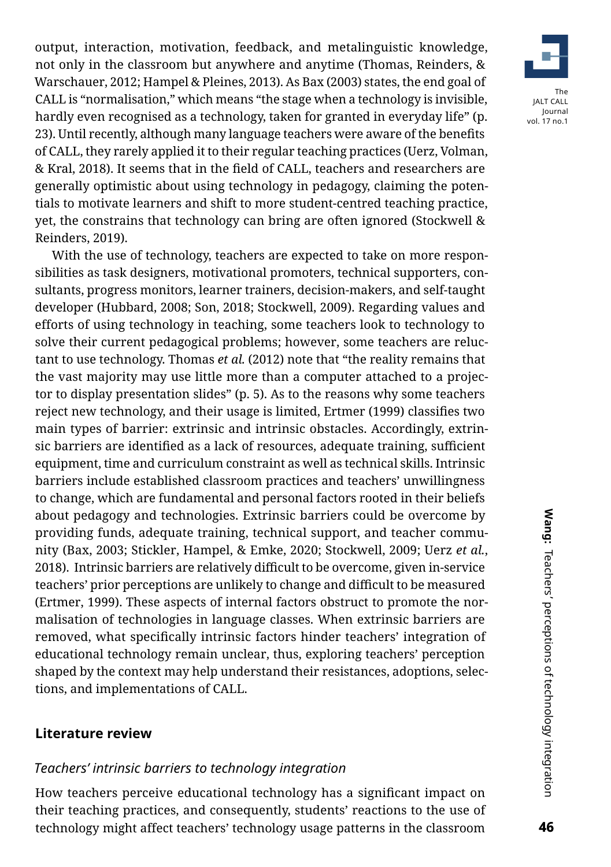output, interaction, motivation, feedback, and metalinguistic knowledge, not only in the classroom but anywhere and anytime (Thomas, Reinders, & Warschauer, 2012; Hampel & Pleines, 2013). As Bax (2003) states, the end goal of CALL is "normalisation," which means "the stage when a technology is invisible, hardly even recognised as a technology, taken for granted in everyday life" (p. 23). Until recently, although many language teachers were aware of the benefits of CALL, they rarely applied it to their regular teaching practices (Uerz, Volman, & Kral, 2018). It seems that in the field of CALL, teachers and researchers are generally optimistic about using technology in pedagogy, claiming the potentials to motivate learners and shift to more student-centred teaching practice, yet, the constrains that technology can bring are often ignored (Stockwell & Reinders, 2019).

With the use of technology, teachers are expected to take on more responsibilities as task designers, motivational promoters, technical supporters, consultants, progress monitors, learner trainers, decision-makers, and self-taught developer (Hubbard, 2008; Son, 2018; Stockwell, 2009). Regarding values and efforts of using technology in teaching, some teachers look to technology to solve their current pedagogical problems; however, some teachers are reluctant to use technology. Thomas *et al.* (2012) note that "the reality remains that the vast majority may use little more than a computer attached to a projector to display presentation slides" (p. 5). As to the reasons why some teachers reject new technology, and their usage is limited, Ertmer (1999) classifies two main types of barrier: extrinsic and intrinsic obstacles. Accordingly, extrinsic barriers are identified as a lack of resources, adequate training, sufficient equipment, time and curriculum constraint as well as technical skills. Intrinsic barriers include established classroom practices and teachers' unwillingness to change, which are fundamental and personal factors rooted in their beliefs about pedagogy and technologies. Extrinsic barriers could be overcome by providing funds, adequate training, technical support, and teacher community (Bax, 2003; Stickler, Hampel, & Emke, 2020; Stockwell, 2009; Uerz *et al.*, 2018). Intrinsic barriers are relatively difficult to be overcome, given in-service teachers' prior perceptions are unlikely to change and difficult to be measured (Ertmer, 1999). These aspects of internal factors obstruct to promote the normalisation of technologies in language classes. When extrinsic barriers are removed, what specifically intrinsic factors hinder teachers' integration of educational technology remain unclear, thus, exploring teachers' perception shaped by the context may help understand their resistances, adoptions, selections, and implementations of CALL.

# **Literature review**

# *Teachers' intrinsic barriers to technology integration*

How teachers perceive educational technology has a significant impact on their teaching practices, and consequently, students' reactions to the use of technology might affect teachers' technology usage patterns in the classroom

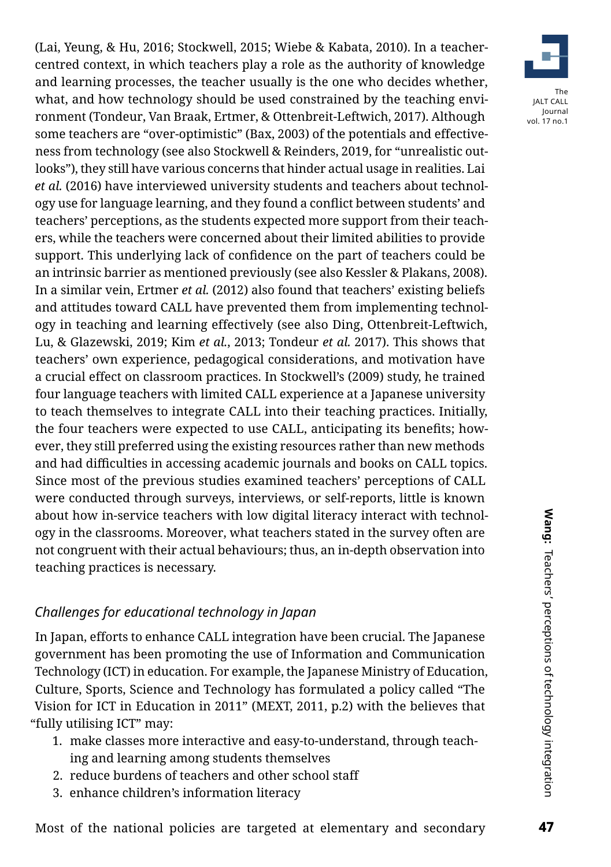(Lai, Yeung, & Hu, 2016; Stockwell, 2015; Wiebe & Kabata, 2010). In a teachercentred context, in which teachers play a role as the authority of knowledge and learning processes, the teacher usually is the one who decides whether, what, and how technology should be used constrained by the teaching environment (Tondeur, Van Braak, Ertmer, & Ottenbreit-Leftwich, 2017). Although some teachers are "over-optimistic" (Bax, 2003) of the potentials and effectiveness from technology (see also Stockwell & Reinders, 2019, for "unrealistic outlooks"), they still have various concerns that hinder actual usage in realities. Lai *et al.* (2016) have interviewed university students and teachers about technology use for language learning, and they found a conflict between students' and teachers' perceptions, as the students expected more support from their teachers, while the teachers were concerned about their limited abilities to provide support. This underlying lack of confidence on the part of teachers could be an intrinsic barrier as mentioned previously (see also Kessler & Plakans, 2008). In a similar vein, Ertmer *et al.* (2012) also found that teachers' existing beliefs and attitudes toward CALL have prevented them from implementing technology in teaching and learning effectively (see also Ding, Ottenbreit-Leftwich, Lu, & Glazewski, 2019; Kim *et al.*, 2013; Tondeur *et al.* 2017). This shows that teachers' own experience, pedagogical considerations, and motivation have a crucial effect on classroom practices. In Stockwell's (2009) study, he trained four language teachers with limited CALL experience at a Japanese university to teach themselves to integrate CALL into their teaching practices. Initially, the four teachers were expected to use CALL, anticipating its benefits; however, they still preferred using the existing resources rather than new methods and had difficulties in accessing academic journals and books on CALL topics. Since most of the previous studies examined teachers' perceptions of CALL were conducted through surveys, interviews, or self-reports, little is known about how in-service teachers with low digital literacy interact with technology in the classrooms. Moreover, what teachers stated in the survey often are not congruent with their actual behaviours; thus, an in-depth observation into teaching practices is necessary.

# *Challenges for educational technology in Japan*

In Japan, efforts to enhance CALL integration have been crucial. The Japanese government has been promoting the use of Information and Communication Technology (ICT) in education. For example, the Japanese Ministry of Education, Culture, Sports, Science and Technology has formulated a policy called "The Vision for ICT in Education in 2011" (MEXT, 2011, p.2) with the believes that "fully utilising ICT" may:

- 1. make classes more interactive and easy-to-understand, through teaching and learning among students themselves
- 2. reduce burdens of teachers and other school staff
- 3. enhance children's information literacy

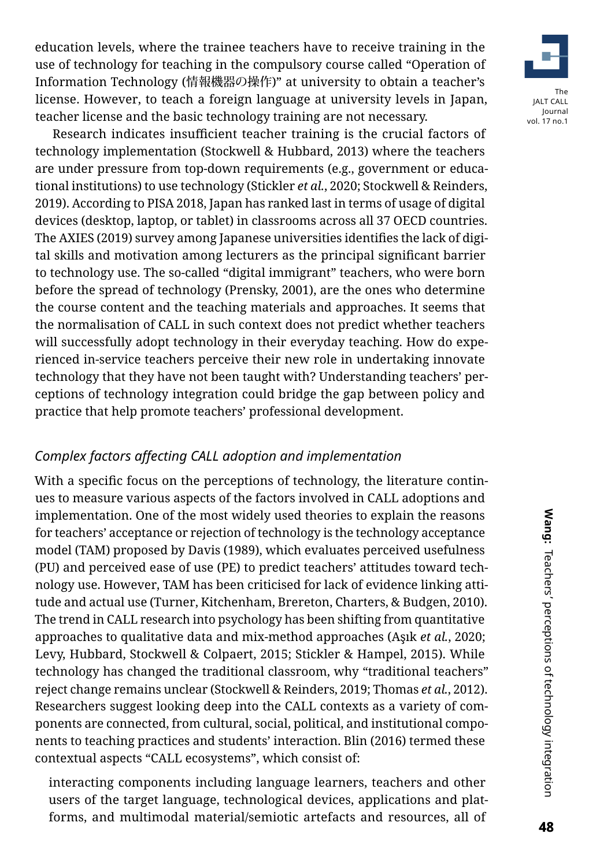education levels, where the trainee teachers have to receive training in the use of technology for teaching in the compulsory course called "Operation of Information Technology (情報機器の操作)" at university to obtain a teacher's license. However, to teach a foreign language at university levels in Japan, teacher license and the basic technology training are not necessary.



# *Complex factors affecting CALL adoption and implementation*

With a specific focus on the perceptions of technology, the literature continues to measure various aspects of the factors involved in CALL adoptions and implementation. One of the most widely used theories to explain the reasons for teachers' acceptance or rejection of technology is the technology acceptance model (TAM) proposed by Davis (1989), which evaluates perceived usefulness (PU) and perceived ease of use (PE) to predict teachers' attitudes toward technology use. However, TAM has been criticised for lack of evidence linking attitude and actual use (Turner, Kitchenham, Brereton, Charters, & Budgen, 2010). The trend in CALL research into psychology has been shifting from quantitative approaches to qualitative data and mix-method approaches (Aşık *et al.*, 2020; Levy, Hubbard, Stockwell & Colpaert, 2015; Stickler & Hampel, 2015). While technology has changed the traditional classroom, why "traditional teachers" reject change remains unclear (Stockwell & Reinders, 2019; Thomas *et al.*, 2012). Researchers suggest looking deep into the CALL contexts as a variety of components are connected, from cultural, social, political, and institutional components to teaching practices and students' interaction. Blin (2016) termed these contextual aspects "CALL ecosystems", which consist of:

interacting components including language learners, teachers and other users of the target language, technological devices, applications and platforms, and multimodal material/semiotic artefacts and resources, all of

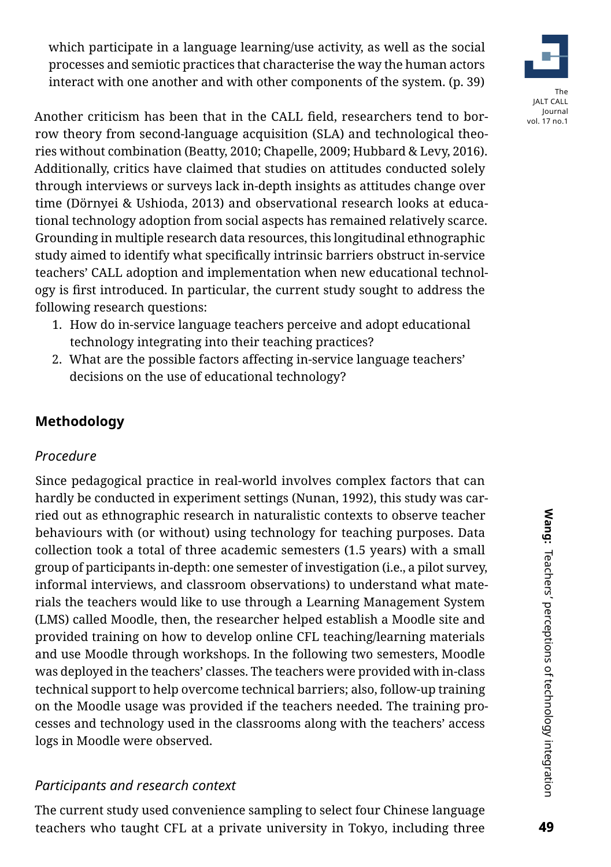which participate in a language learning/use activity, as well as the social processes and semiotic practices that characterise the way the human actors interact with one another and with other components of the system. (p. 39)



Another criticism has been that in the CALL field, researchers tend to borrow theory from second-language acquisition (SLA) and technological theories without combination (Beatty, 2010; Chapelle, 2009; Hubbard & Levy, 2016). Additionally, critics have claimed that studies on attitudes conducted solely through interviews or surveys lack in-depth insights as attitudes change over time (Dörnyei & Ushioda, 2013) and observational research looks at educational technology adoption from social aspects has remained relatively scarce. Grounding in multiple research data resources, this longitudinal ethnographic study aimed to identify what specifically intrinsic barriers obstruct in-service teachers' CALL adoption and implementation when new educational technology is first introduced. In particular, the current study sought to address the following research questions:

- 1. How do in-service language teachers perceive and adopt educational technology integrating into their teaching practices?
- 2. What are the possible factors affecting in-service language teachers' decisions on the use of educational technology?

# **Methodology**

# *Procedure*

Since pedagogical practice in real-world involves complex factors that can hardly be conducted in experiment settings (Nunan, 1992), this study was carried out as ethnographic research in naturalistic contexts to observe teacher behaviours with (or without) using technology for teaching purposes. Data collection took a total of three academic semesters (1.5 years) with a small group of participants in-depth: one semester of investigation (i.e., a pilot survey, informal interviews, and classroom observations) to understand what materials the teachers would like to use through a Learning Management System (LMS) called Moodle, then, the researcher helped establish a Moodle site and provided training on how to develop online CFL teaching/learning materials and use Moodle through workshops. In the following two semesters, Moodle was deployed in the teachers' classes. The teachers were provided with in-class technical support to help overcome technical barriers; also, follow-up training on the Moodle usage was provided if the teachers needed. The training processes and technology used in the classrooms along with the teachers' access logs in Moodle were observed.

# *Participants and research context*

The current study used convenience sampling to select four Chinese language teachers who taught CFL at a private university in Tokyo, including three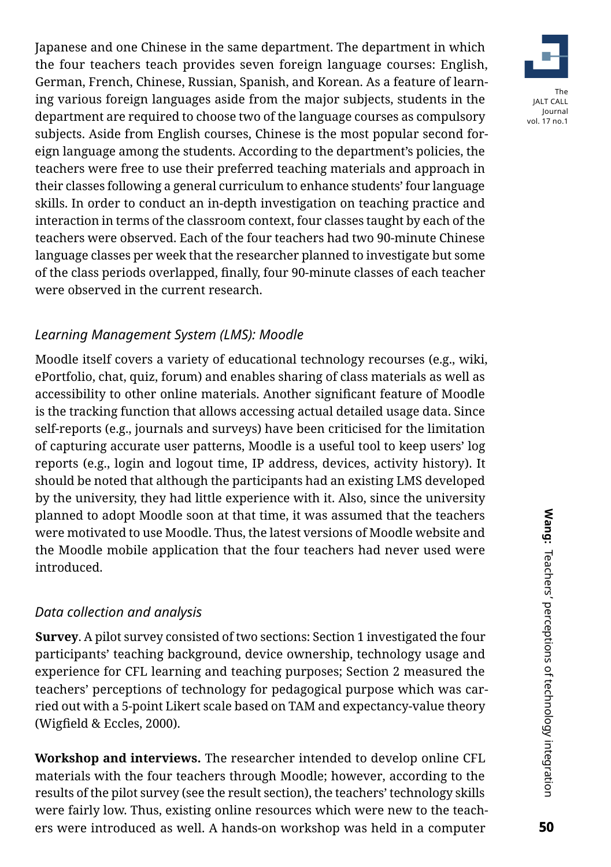Japanese and one Chinese in the same department. The department in which the four teachers teach provides seven foreign language courses: English, German, French, Chinese, Russian, Spanish, and Korean. As a feature of learning various foreign languages aside from the major subjects, students in the department are required to choose two of the language courses as compulsory subjects. Aside from English courses, Chinese is the most popular second foreign language among the students. According to the department's policies, the teachers were free to use their preferred teaching materials and approach in their classes following a general curriculum to enhance students' four language skills. In order to conduct an in-depth investigation on teaching practice and interaction in terms of the classroom context, four classes taught by each of the teachers were observed. Each of the four teachers had two 90-minute Chinese language classes per week that the researcher planned to investigate but some of the class periods overlapped, finally, four 90-minute classes of each teacher were observed in the current research.

# *Learning Management System (LMS): Moodle*

Moodle itself covers a variety of educational technology recourses (e.g., wiki, ePortfolio, chat, quiz, forum) and enables sharing of class materials as well as accessibility to other online materials. Another significant feature of Moodle is the tracking function that allows accessing actual detailed usage data. Since self-reports (e.g., journals and surveys) have been criticised for the limitation of capturing accurate user patterns, Moodle is a useful tool to keep users' log reports (e.g., login and logout time, IP address, devices, activity history). It should be noted that although the participants had an existing LMS developed by the university, they had little experience with it. Also, since the university planned to adopt Moodle soon at that time, it was assumed that the teachers were motivated to use Moodle. Thus, the latest versions of Moodle website and the Moodle mobile application that the four teachers had never used were introduced.

# *Data collection and analysis*

**Survey**. A pilot survey consisted of two sections: Section 1 investigated the four participants' teaching background, device ownership, technology usage and experience for CFL learning and teaching purposes; Section 2 measured the teachers' perceptions of technology for pedagogical purpose which was carried out with a 5-point Likert scale based on TAM and expectancy-value theory (Wigfield & Eccles, 2000).

**Workshop and interviews.** The researcher intended to develop online CFL materials with the four teachers through Moodle; however, according to the results of the pilot survey (see the result section), the teachers' technology skills were fairly low. Thus, existing online resources which were new to the teachers were introduced as well. A hands-on workshop was held in a computer

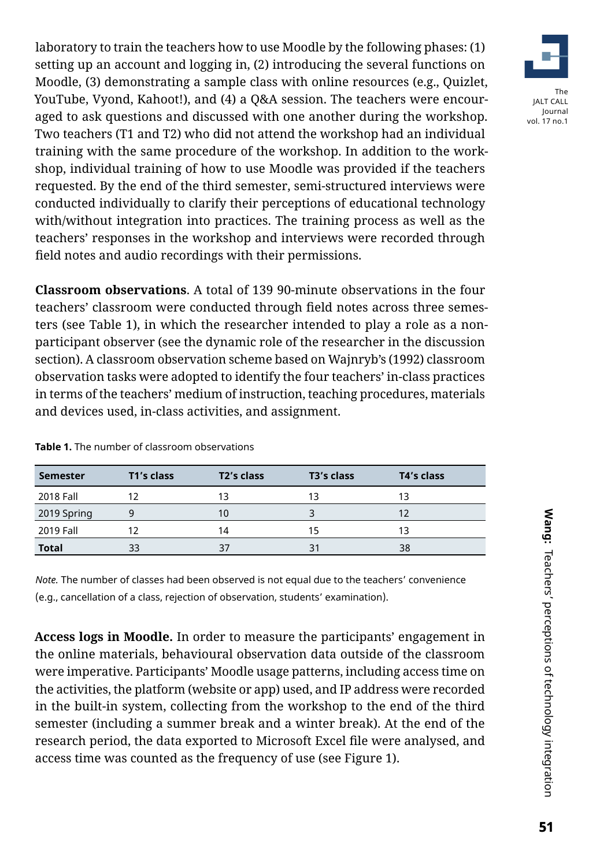laboratory to train the teachers how to use Moodle by the following phases: (1) setting up an account and logging in, (2) introducing the several functions on Moodle, (3) demonstrating a sample class with online resources (e.g., Quizlet, YouTube, Vyond, Kahoot!), and (4) a Q&A session. The teachers were encouraged to ask questions and discussed with one another during the workshop. Two teachers (T1 and T2) who did not attend the workshop had an individual training with the same procedure of the workshop. In addition to the workshop, individual training of how to use Moodle was provided if the teachers requested. By the end of the third semester, semi-structured interviews were conducted individually to clarify their perceptions of educational technology with/without integration into practices. The training process as well as the teachers' responses in the workshop and interviews were recorded through field notes and audio recordings with their permissions.

**Classroom observations**. A total of 139 90-minute observations in the four teachers' classroom were conducted through field notes across three semesters (see Table 1), in which the researcher intended to play a role as a nonparticipant observer (see the dynamic role of the researcher in the discussion section). A classroom observation scheme based on Wajnryb's (1992) classroom observation tasks were adopted to identify the four teachers' in-class practices in terms of the teachers' medium of instruction, teaching procedures, materials and devices used, in-class activities, and assignment.

| <b>Semester</b> | T1's class | T <sub>2</sub> 's class | T <sub>3</sub> 's class | T4's class |  |
|-----------------|------------|-------------------------|-------------------------|------------|--|
| 2018 Fall       |            | 13                      | 13                      | 13         |  |
| 2019 Spring     | q          |                         |                         |            |  |
| 2019 Fall       |            | 14                      | 15                      | 13         |  |
| <b>Total</b>    | 33         | 37                      | З.                      | 38         |  |

**Table 1.** The number of classroom observations

*Note.* The number of classes had been observed is not equal due to the teachers' convenience (e.g., cancellation of a class, rejection of observation, students' examination).

**Access logs in Moodle.** In order to measure the participants' engagement in the online materials, behavioural observation data outside of the classroom were imperative. Participants' Moodle usage patterns, including access time on the activities, the platform (website or app) used, and IP address were recorded in the built-in system, collecting from the workshop to the end of the third semester (including a summer break and a winter break). At the end of the research period, the data exported to Microsoft Excel file were analysed, and access time was counted as the frequency of use (see Figure 1).

**Wang:** Teachers' perceptions of technology integration Wang: Teachers' perceptions of technology integration Teachers' perceptions of technology integration

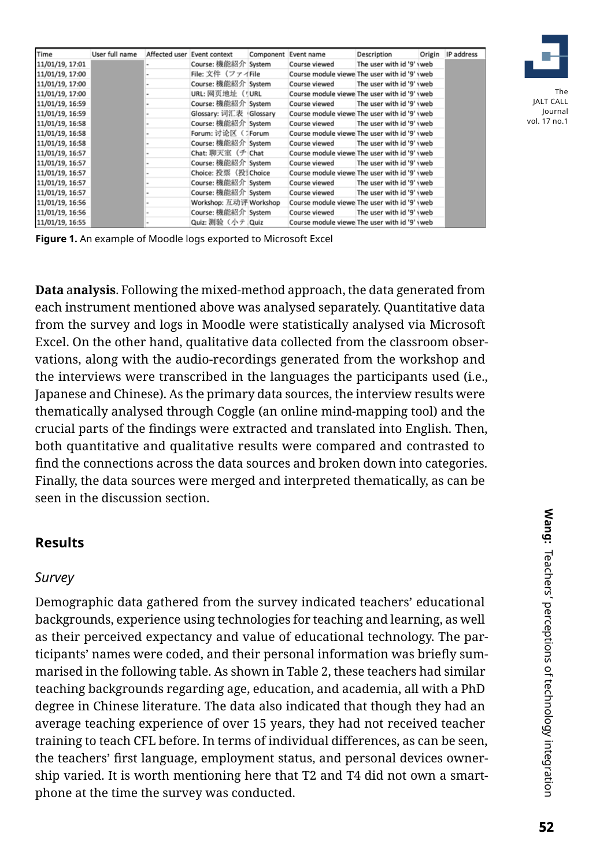| Time            | User full name |                          | Affected user Event context | Component | Event name                                    | Description               | Origin | IP address |
|-----------------|----------------|--------------------------|-----------------------------|-----------|-----------------------------------------------|---------------------------|--------|------------|
| 11/01/19, 17:01 |                | ۰                        | Course: 機能紹介 System         |           | Course viewed                                 | The user with id '9' vweb |        |            |
| 11/01/19, 17:00 |                | ۰                        | File: 文件(ファイFile            |           | Course module viewe The user with id '9' yweb |                           |        |            |
| 11/01/19, 17:00 |                | ×.                       | Course: 機能紹介 System         |           | Course viewed                                 | The user with id '9' yweb |        |            |
| 11/01/19, 17:00 |                | $\sim$                   | URL: 网页地址 ( URL             |           | Course module viewe The user with id '9' yweb |                           |        |            |
| 11/01/19, 16:59 |                | $\sim$                   | Course: 機能紹介 System         |           | Course viewed                                 | The user with id '9' yweb |        |            |
| 11/01/19, 16:59 |                | $\;$                     | Glossary: 词汇表 Glossary      |           | Course module viewe The user with id '9' yweb |                           |        |            |
| 11/01/19, 16:58 |                | ۰                        | Course: 機能紹介 System         |           | Course viewed                                 | The user with id '9' yweb |        |            |
| 11/01/19, 16:58 |                | ÷                        | Forum: 讨论区 (JForum          |           | Course module viewe The user with id '9' yweb |                           |        |            |
| 11/01/19, 16:58 |                | ×                        | Course: 機能紹介 System         |           | Course viewed                                 | The user with id '9' yweb |        |            |
| 11/01/19, 16:57 |                | ۰                        | Chat: 聊天室(チ Chat            |           | Course module viewe The user with id '9' yweb |                           |        |            |
| 11/01/19, 16:57 |                | $\,$                     | Course: 機能紹介 System         |           | Course viewed                                 | The user with id '9' yweb |        |            |
| 11/01/19, 16:57 |                | $\overline{\phantom{a}}$ | Choice: 投票 (投 Choice        |           | Course module viewe The user with id '9' yweb |                           |        |            |
| 11/01/19, 16:57 |                | ×.                       | Course: 機能紹介 System         |           | Course viewed                                 | The user with id '9' yweb |        |            |
| 11/01/19, 16:57 |                | $\sim$                   | Course: 機能紹介 System         |           | Course viewed                                 | The user with id '9' yweb |        |            |
| 11/01/19, 16:56 |                | ×.                       | Workshop: 互动评 Workshop      |           | Course module viewe The user with id '9' yweb |                           |        |            |
| 11/01/19, 16:56 |                | $\overline{\phantom{a}}$ | Course: 機能紹介 System         |           | Course viewed                                 | The user with id '9' yweb |        |            |
| 11/01/19, 16:55 |                |                          | Quiz: 測验 (小テ Quiz           |           | Course module viewe The user with id '9' yweb |                           |        |            |



The JALT CALL Journal vol. 17 no.1

**Figure 1.** An example of Moodle logs exported to Microsoft Excel

**Data** a**nalysis**. Following the mixed-method approach, the data generated from each instrument mentioned above was analysed separately. Quantitative data from the survey and logs in Moodle were statistically analysed via Microsoft Excel. On the other hand, qualitative data collected from the classroom observations, along with the audio-recordings generated from the workshop and the interviews were transcribed in the languages the participants used (i.e., Japanese and Chinese). As the primary data sources, the interview results were thematically analysed through Coggle (an online mind-mapping tool) and the crucial parts of the findings were extracted and translated into English. Then, both quantitative and qualitative results were compared and contrasted to find the connections across the data sources and broken down into categories. Finally, the data sources were merged and interpreted thematically, as can be seen in the discussion section.

# **Results**

#### *Survey*

Demographic data gathered from the survey indicated teachers' educational backgrounds, experience using technologies for teaching and learning, as well as their perceived expectancy and value of educational technology. The participants' names were coded, and their personal information was briefly summarised in the following table. As shown in Table 2, these teachers had similar teaching backgrounds regarding age, education, and academia, all with a PhD degree in Chinese literature. The data also indicated that though they had an average teaching experience of over 15 years, they had not received teacher training to teach CFL before. In terms of individual differences, as can be seen, the teachers' first language, employment status, and personal devices ownership varied. It is worth mentioning here that T2 and T4 did not own a smartphone at the time the survey was conducted.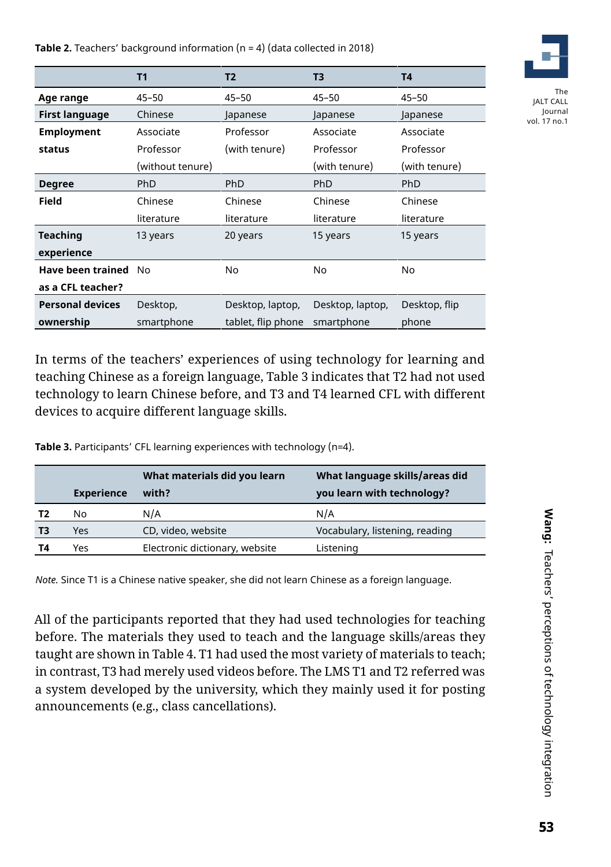**Table 2.** Teachers' background information (n = 4) (data collected in 2018)



The JALT CALL Journal vol. 17 no.1

|                         | T1               | <b>T2</b>          | T3               | T4            |
|-------------------------|------------------|--------------------|------------------|---------------|
| Age range               | 45–50            | $45 - 50$          | $45 - 50$        | $45 - 50$     |
| First language          | Chinese          | Japanese           | Japanese         | Japanese      |
| <b>Employment</b>       | Associate        | Professor          | Associate        | Associate     |
| status                  | Professor        | (with tenure)      | Professor        | Professor     |
|                         | (without tenure) |                    | (with tenure)    | (with tenure) |
| <b>Degree</b>           | <b>PhD</b>       | <b>PhD</b>         | <b>PhD</b>       | <b>PhD</b>    |
| <b>Field</b>            | Chinese          | Chinese            | Chinese          | Chinese       |
|                         | literature       | literature         | literature       | literature    |
| Teaching                | 13 years         | 20 years           | 15 years         | 15 years      |
| experience              |                  |                    |                  |               |
| Have been trained       | No.              | No.                | No               | No            |
| as a CFL teacher?       |                  |                    |                  |               |
| <b>Personal devices</b> | Desktop,         | Desktop, laptop,   | Desktop, laptop, | Desktop, flip |
| ownership               | smartphone       | tablet, flip phone | smartphone       | phone         |

In terms of the teachers' experiences of using technology for learning and teaching Chinese as a foreign language, Table 3 indicates that T2 had not used technology to learn Chinese before, and T3 and T4 learned CFL with different devices to acquire different language skills.

**Table 3.** Participants' CFL learning experiences with technology (n=4).

|    | <b>Experience</b> | What materials did you learn<br>with? | What language skills/areas did<br>you learn with technology? |
|----|-------------------|---------------------------------------|--------------------------------------------------------------|
| Т2 | No                | N/A                                   | N/A                                                          |
| ТЗ | Yes               | CD, video, website                    | Vocabulary, listening, reading                               |
| Τ4 | Yes               | Electronic dictionary, website        | Listening                                                    |

*Note.* Since T1 is a Chinese native speaker, she did not learn Chinese as a foreign language.

All of the participants reported that they had used technologies for teaching before. The materials they used to teach and the language skills/areas they taught are shown in Table 4. T1 had used the most variety of materials to teach; in contrast, T3 had merely used videos before. The LMS T1 and T2 referred was a system developed by the university, which they mainly used it for posting announcements (e.g., class cancellations).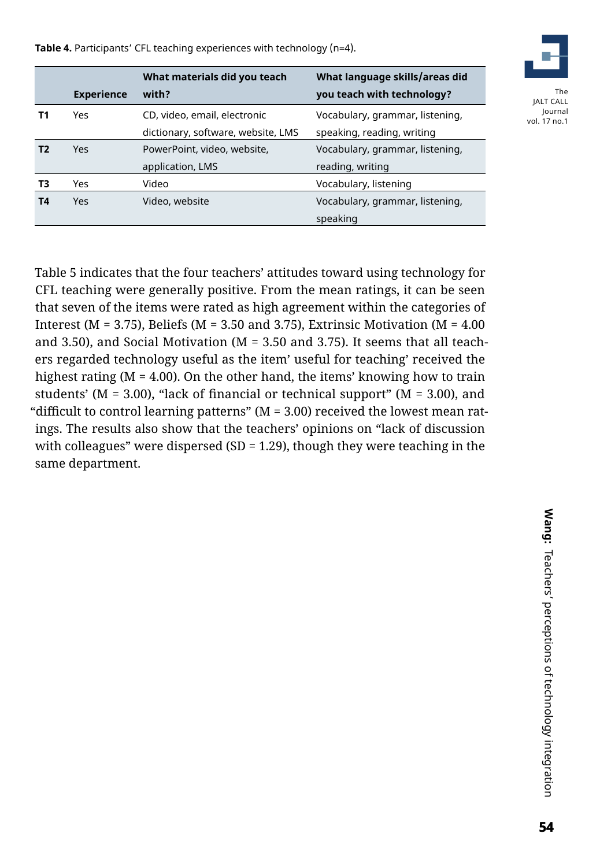**Table 4.** Participants' CFL teaching experiences with technology (n=4).

|    |                   | What materials did you teach       | What language skills/areas did  |
|----|-------------------|------------------------------------|---------------------------------|
|    | <b>Experience</b> | with?                              | you teach with technology?      |
| Τ1 | Yes               | CD, video, email, electronic       | Vocabulary, grammar, listening, |
|    |                   | dictionary, software, website, LMS | speaking, reading, writing      |
| Τ2 | <b>Yes</b>        | PowerPoint, video, website,        | Vocabulary, grammar, listening, |
|    |                   | application, LMS                   | reading, writing                |
| T3 | Yes               | Video                              | Vocabulary, listening           |
| Τ4 | <b>Yes</b>        | Video, website                     | Vocabulary, grammar, listening, |
|    |                   |                                    | speaking                        |



The JALT CALL Journal vol. 17 no.1

Table 5 indicates that the four teachers' attitudes toward using technology for CFL teaching were generally positive. From the mean ratings, it can be seen that seven of the items were rated as high agreement within the categories of Interest ( $M = 3.75$ ), Beliefs ( $M = 3.50$  and 3.75), Extrinsic Motivation ( $M = 4.00$ and 3.50), and Social Motivation ( $M = 3.50$  and 3.75). It seems that all teachers regarded technology useful as the item' useful for teaching' received the highest rating (M = 4.00). On the other hand, the items' knowing how to train students' ( $M = 3.00$ ), "lack of financial or technical support" ( $M = 3.00$ ), and "difficult to control learning patterns" ( $M = 3.00$ ) received the lowest mean ratings. The results also show that the teachers' opinions on "lack of discussion with colleagues" were dispersed (SD = 1.29), though they were teaching in the same department.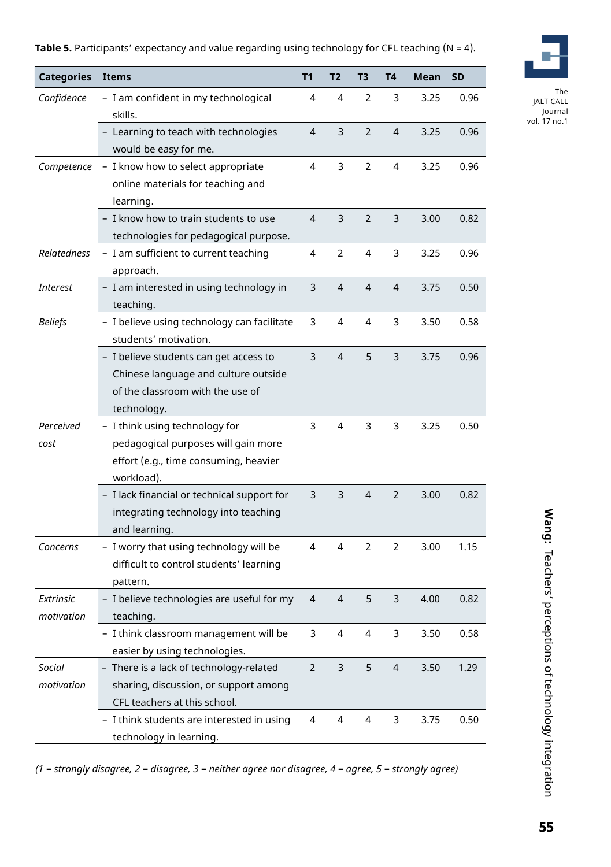**Table 5.** Participants' expectancy and value regarding using technology for CFL teaching (N = 4).



The JALT CALL Journal vol. 17 no.1

| <b>Categories</b>       | <b>Items</b>                                                                                                                 | T1             | T <sub>2</sub> | T3             | T4             | Mean | <b>SD</b> |
|-------------------------|------------------------------------------------------------------------------------------------------------------------------|----------------|----------------|----------------|----------------|------|-----------|
| Confidence              | - I am confident in my technological<br>skills.                                                                              | 4              | 4              | 2              | 3              | 3.25 | 0.96      |
|                         | - Learning to teach with technologies<br>would be easy for me.                                                               | 4              | 3              | $\overline{2}$ | $\overline{4}$ | 3.25 | 0.96      |
| Competence              | - I know how to select appropriate                                                                                           | $\overline{4}$ | 3              | $\overline{2}$ | 4              | 3.25 | 0.96      |
|                         | online materials for teaching and<br>learning.                                                                               |                |                |                |                |      |           |
|                         | - I know how to train students to use                                                                                        | 4              | 3              | $\overline{2}$ | 3              | 3.00 | 0.82      |
|                         | technologies for pedagogical purpose.                                                                                        |                |                |                |                |      |           |
| <b>Relatedness</b>      | - I am sufficient to current teaching<br>approach.                                                                           | 4              | $\overline{2}$ | 4              | 3              | 3.25 | 0.96      |
| <b>Interest</b>         | - I am interested in using technology in<br>teaching.                                                                        | 3              | 4              | 4              | 4              | 3.75 | 0.50      |
| <b>Beliefs</b>          | - I believe using technology can facilitate<br>students' motivation.                                                         | 3              | 4              | 4              | 3              | 3.50 | 0.58      |
|                         | - I believe students can get access to<br>Chinese language and culture outside<br>of the classroom with the use of           | 3              | $\overline{4}$ | 5              | 3              | 3.75 | 0.96      |
|                         | technology.                                                                                                                  |                |                |                |                |      |           |
| Perceived<br>cost       | - I think using technology for<br>pedagogical purposes will gain more<br>effort (e.g., time consuming, heavier<br>workload). | 3              | 4              | 3              | 3              | 3.25 | 0.50      |
|                         | - I lack financial or technical support for<br>integrating technology into teaching<br>and learning.                         | 3              | 3              | 4              | $\overline{2}$ | 3.00 | 0.82      |
| Concerns                | - I worry that using technology will be<br>difficult to control students' learning<br>pattern.                               | 4              | 4              | $\overline{2}$ | $\overline{2}$ | 3.00 | 1.15      |
| Extrinsic<br>motivation | - I believe technologies are useful for my<br>teaching.                                                                      | 4              | 4              | 5              | 3              | 4.00 | 0.82      |
|                         | - I think classroom management will be<br>easier by using technologies.                                                      | 3              | 4              | 4              | 3              | 3.50 | 0.58      |
| Social                  | - There is a lack of technology-related                                                                                      | $\overline{2}$ | 3              | 5              | 4              | 3.50 | 1.29      |
| motivation              | sharing, discussion, or support among<br>CFL teachers at this school.                                                        |                |                |                |                |      |           |
|                         | - I think students are interested in using<br>technology in learning.                                                        | 4              | 4              | 4              | 3              | 3.75 | 0.50      |

*(1 = strongly disagree, 2 = disagree, 3 = neither agree nor disagree, 4 = agree, 5 = strongly agree)*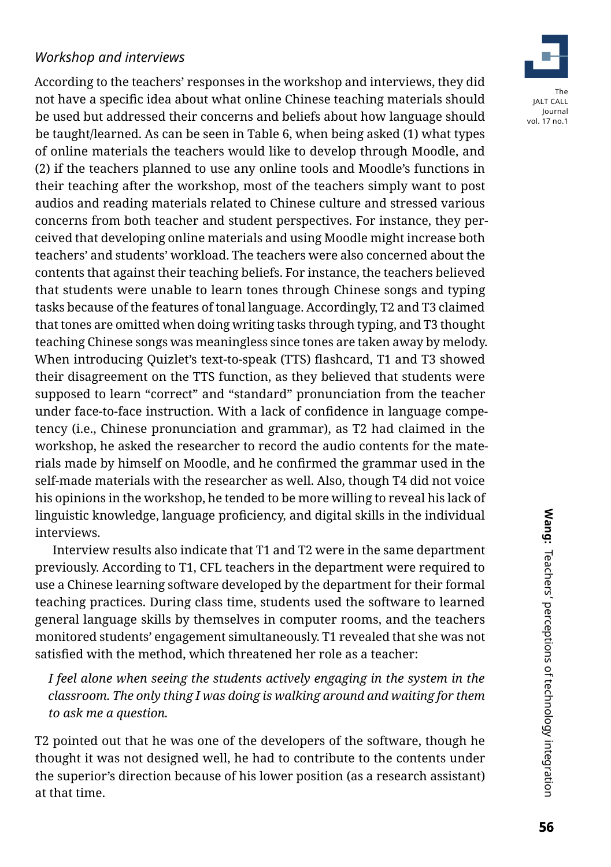# *Workshop and interviews*

According to the teachers' responses in the workshop and interviews, they did not have a specific idea about what online Chinese teaching materials should be used but addressed their concerns and beliefs about how language should be taught/learned. As can be seen in Table 6, when being asked (1) what types of online materials the teachers would like to develop through Moodle, and (2) if the teachers planned to use any online tools and Moodle's functions in their teaching after the workshop, most of the teachers simply want to post audios and reading materials related to Chinese culture and stressed various concerns from both teacher and student perspectives. For instance, they perceived that developing online materials and using Moodle might increase both teachers' and students' workload. The teachers were also concerned about the contents that against their teaching beliefs. For instance, the teachers believed that students were unable to learn tones through Chinese songs and typing tasks because of the features of tonal language. Accordingly, T2 and T3 claimed that tones are omitted when doing writing tasks through typing, and T3 thought teaching Chinese songs was meaningless since tones are taken away by melody. When introducing Quizlet's text-to-speak (TTS) flashcard, T1 and T3 showed their disagreement on the TTS function, as they believed that students were supposed to learn "correct" and "standard" pronunciation from the teacher under face-to-face instruction. With a lack of confidence in language competency (i.e., Chinese pronunciation and grammar), as T2 had claimed in the workshop, he asked the researcher to record the audio contents for the materials made by himself on Moodle, and he confirmed the grammar used in the self-made materials with the researcher as well. Also, though T4 did not voice his opinions in the workshop, he tended to be more willing to reveal his lack of linguistic knowledge, language proficiency, and digital skills in the individual interviews.

Interview results also indicate that T1 and T2 were in the same department previously. According to T1, CFL teachers in the department were required to use a Chinese learning software developed by the department for their formal teaching practices. During class time, students used the software to learned general language skills by themselves in computer rooms, and the teachers monitored students' engagement simultaneously. T1 revealed that she was not satisfied with the method, which threatened her role as a teacher:

*I feel alone when seeing the students actively engaging in the system in the classroom. The only thing I was doing is walking around and waiting for them to ask me a question.*

T2 pointed out that he was one of the developers of the software, though he thought it was not designed well, he had to contribute to the contents under the superior's direction because of his lower position (as a research assistant) at that time.

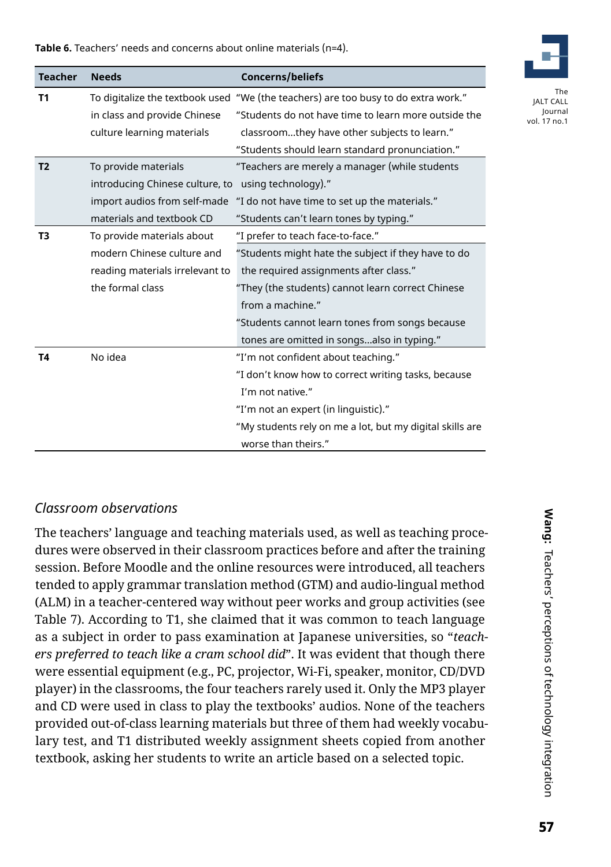**Table 6.** Teachers' needs and concerns about online materials (n=4).

| <b>Teacher</b> | <b>Needs</b>                    | <b>Concerns/beliefs</b>                                  |
|----------------|---------------------------------|----------------------------------------------------------|
| <b>T1</b>      | To digitalize the textbook used | "We (the teachers) are too busy to do extra work."       |
|                | in class and provide Chinese    | "Students do not have time to learn more outside the     |
|                | culture learning materials      | classroomthey have other subjects to learn."             |
|                |                                 | "Students should learn standard pronunciation."          |
| T <sub>2</sub> | To provide materials            | "Teachers are merely a manager (while students           |
|                | introducing Chinese culture, to | using technology)."                                      |
|                | import audios from self-made    | "I do not have time to set up the materials."            |
|                | materials and textbook CD       | "Students can't learn tones by typing."                  |
| T3             | To provide materials about      | "I prefer to teach face-to-face."                        |
|                | modern Chinese culture and      | "Students might hate the subject if they have to do      |
|                | reading materials irrelevant to | the required assignments after class."                   |
|                | the formal class                | "They (the students) cannot learn correct Chinese        |
|                |                                 | from a machine."                                         |
|                |                                 | "Students cannot learn tones from songs because          |
|                |                                 | tones are omitted in songsalso in typing."               |
| <b>T4</b>      | No idea                         | "I'm not confident about teaching."                      |
|                |                                 | "I don't know how to correct writing tasks, because      |
|                |                                 | I'm not native."                                         |
|                |                                 | "I'm not an expert (in linguistic)."                     |
|                |                                 | "My students rely on me a lot, but my digital skills are |
|                |                                 | worse than theirs."                                      |

# *Classroom observations*

The teachers' language and teaching materials used, as well as teaching procedures were observed in their classroom practices before and after the training session. Before Moodle and the online resources were introduced, all teachers tended to apply grammar translation method (GTM) and audio-lingual method (ALM) in a teacher-centered way without peer works and group activities (see Table 7). According to T1, she claimed that it was common to teach language as a subject in order to pass examination at Japanese universities, so "*teachers preferred to teach like a cram school did*". It was evident that though there were essential equipment (e.g., PC, projector, Wi-Fi, speaker, monitor, CD/DVD player) in the classrooms, the four teachers rarely used it. Only the MP3 player and CD were used in class to play the textbooks' audios. None of the teachers provided out-of-class learning materials but three of them had weekly vocabulary test, and T1 distributed weekly assignment sheets copied from another textbook, asking her students to write an article based on a selected topic.

**Wang:** Teachers' perceptions of technology integration Wang: Teachers' perceptions of technology integration Teachers' perceptions of technology integration

The JALT CALL Journal vol. 17 no.1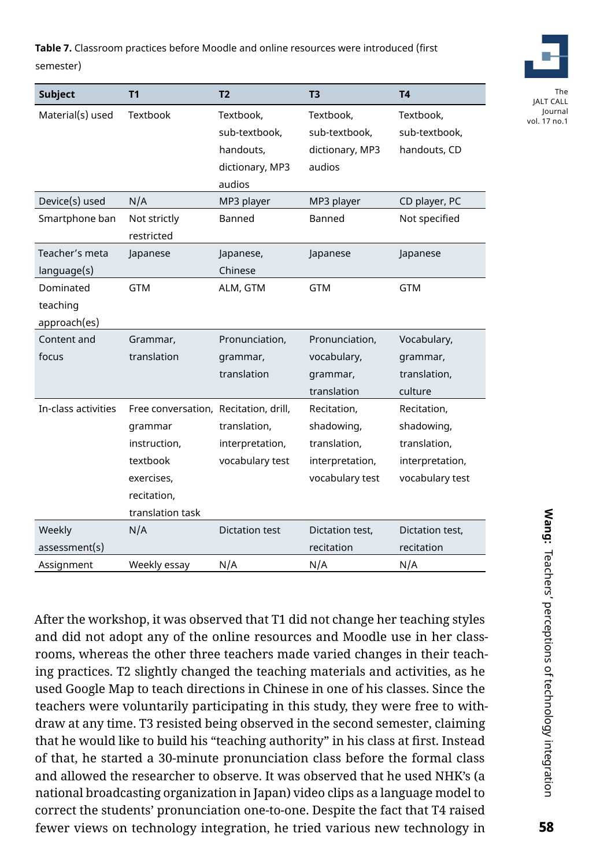**Table 7.** Classroom practices before Moodle and online resources were introduced (first semester)

| <b>Subject</b>      | T <sub>1</sub>                        | T <sub>2</sub>        | T <sub>3</sub>  | <b>T4</b>       |
|---------------------|---------------------------------------|-----------------------|-----------------|-----------------|
| Material(s) used    | Textbook                              | Textbook,             | Textbook,       | Textbook,       |
|                     |                                       | sub-textbook,         | sub-textbook,   | sub-textbook,   |
|                     |                                       | handouts,             | dictionary, MP3 | handouts, CD    |
|                     |                                       | dictionary, MP3       | audios          |                 |
|                     |                                       | audios                |                 |                 |
| Device(s) used      | N/A                                   | MP3 player            | MP3 player      | CD player, PC   |
| Smartphone ban      | Not strictly                          | Banned                | Banned          | Not specified   |
|                     | restricted                            |                       |                 |                 |
| Teacher's meta      | Japanese                              | Japanese,             | Japanese        | Japanese        |
| language(s)         |                                       | Chinese               |                 |                 |
| Dominated           | <b>GTM</b>                            | ALM, GTM              | <b>GTM</b>      | <b>GTM</b>      |
| teaching            |                                       |                       |                 |                 |
| approach(es)        |                                       |                       |                 |                 |
| Content and         | Grammar,                              | Pronunciation,        | Pronunciation,  | Vocabulary,     |
| focus               | translation                           | grammar,              | vocabulary,     | grammar,        |
|                     |                                       | translation           | grammar,        | translation,    |
|                     |                                       |                       | translation     | culture         |
| In-class activities | Free conversation, Recitation, drill, |                       | Recitation,     | Recitation,     |
|                     | grammar                               | translation,          | shadowing,      | shadowing,      |
|                     | instruction,                          | interpretation,       | translation,    | translation,    |
|                     | textbook                              | vocabulary test       | interpretation, | interpretation, |
|                     | exercises,                            |                       | vocabulary test | vocabulary test |
|                     | recitation,                           |                       |                 |                 |
|                     | translation task                      |                       |                 |                 |
| Weekly              | N/A                                   | <b>Dictation test</b> | Dictation test, | Dictation test, |
| assessment(s)       |                                       |                       | recitation      | recitation      |
| Assignment          | Weekly essay                          | N/A                   | N/A             | N/A             |

After the workshop, it was observed that T1 did not change her teaching styles and did not adopt any of the online resources and Moodle use in her classrooms, whereas the other three teachers made varied changes in their teaching practices. T2 slightly changed the teaching materials and activities, as he used Google Map to teach directions in Chinese in one of his classes. Since the teachers were voluntarily participating in this study, they were free to withdraw at any time. T3 resisted being observed in the second semester, claiming that he would like to build his "teaching authority" in his class at first. Instead of that, he started a 30-minute pronunciation class before the formal class and allowed the researcher to observe. It was observed that he used NHK's (a national broadcasting organization in Japan) video clips as a language model to correct the students' pronunciation one-to-one. Despite the fact that T4 raised fewer views on technology integration, he tried various new technology in



The JALT CALL Journal vol. 17 no.1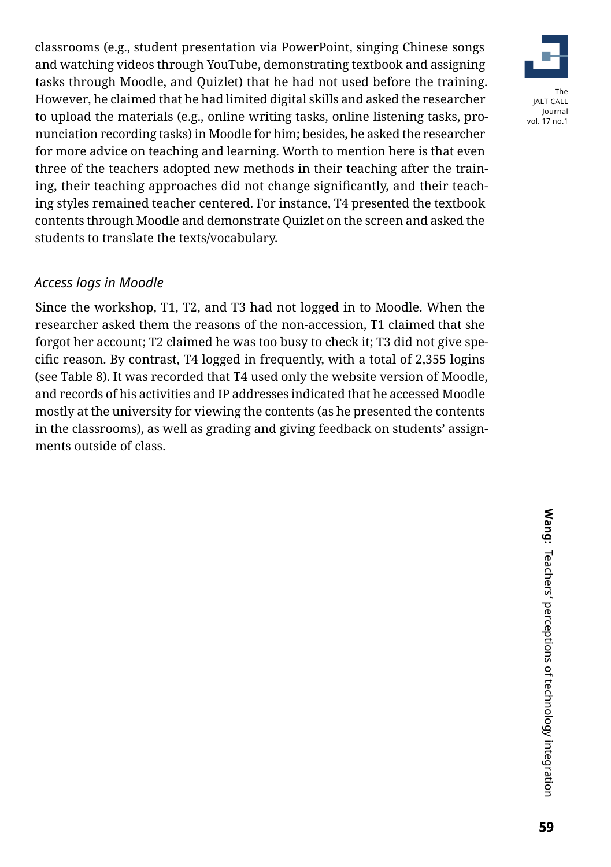classrooms (e.g., student presentation via PowerPoint, singing Chinese songs and watching videos through YouTube, demonstrating textbook and assigning tasks through Moodle, and Quizlet) that he had not used before the training. However, he claimed that he had limited digital skills and asked the researcher to upload the materials (e.g., online writing tasks, online listening tasks, pronunciation recording tasks) in Moodle for him; besides, he asked the researcher for more advice on teaching and learning. Worth to mention here is that even three of the teachers adopted new methods in their teaching after the training, their teaching approaches did not change significantly, and their teaching styles remained teacher centered. For instance, T4 presented the textbook contents through Moodle and demonstrate Quizlet on the screen and asked the students to translate the texts/vocabulary.

# *Access logs in Moodle*

Since the workshop, T1, T2, and T3 had not logged in to Moodle. When the researcher asked them the reasons of the non-accession, T1 claimed that she forgot her account; T2 claimed he was too busy to check it; T3 did not give specific reason. By contrast, T4 logged in frequently, with a total of 2,355 logins (see Table 8). It was recorded that T4 used only the website version of Moodle, and records of his activities and IP addresses indicated that he accessed Moodle mostly at the university for viewing the contents (as he presented the contents in the classrooms), as well as grading and giving feedback on students' assignments outside of class.

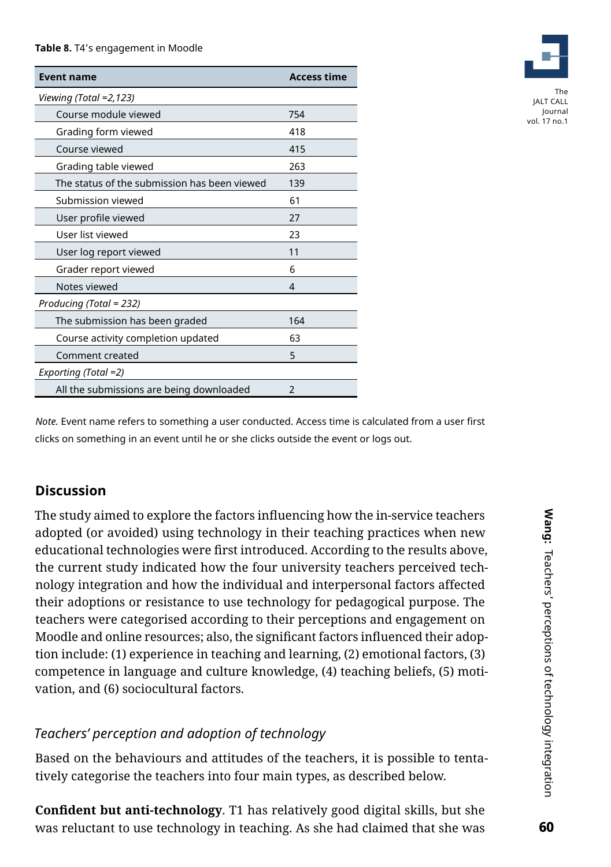#### **Table 8.** T4's engagement in Moodle

| <b>Event name</b>                            | <b>Access time</b> |  |  |  |
|----------------------------------------------|--------------------|--|--|--|
| Viewing (Total =2,123)                       |                    |  |  |  |
| Course module viewed                         | 754                |  |  |  |
| Grading form viewed                          | 418                |  |  |  |
| Course viewed                                | 415                |  |  |  |
| Grading table viewed                         | 263                |  |  |  |
| The status of the submission has been viewed | 139                |  |  |  |
| Submission viewed                            | 61                 |  |  |  |
| User profile viewed                          | 27                 |  |  |  |
| User list viewed                             | 23                 |  |  |  |
| User log report viewed                       | 11                 |  |  |  |
| Grader report viewed                         | 6                  |  |  |  |
| Notes viewed                                 | 4                  |  |  |  |
| Producing (Total = 232)                      |                    |  |  |  |
| The submission has been graded               | 164                |  |  |  |
| Course activity completion updated           | 63                 |  |  |  |
| Comment created                              | 5                  |  |  |  |
| Exporting (Total =2)                         |                    |  |  |  |
| All the submissions are being downloaded     | $\mathfrak{p}$     |  |  |  |



JALT CALL Journal vol. 17 no.1

*Note.* Event name refers to something a user conducted. Access time is calculated from a user first clicks on something in an event until he or she clicks outside the event or logs out.

# **Discussion**

The study aimed to explore the factors influencing how the in-service teachers adopted (or avoided) using technology in their teaching practices when new educational technologies were first introduced. According to the results above, the current study indicated how the four university teachers perceived technology integration and how the individual and interpersonal factors affected their adoptions or resistance to use technology for pedagogical purpose. The teachers were categorised according to their perceptions and engagement on Moodle and online resources; also, the significant factors influenced their adoption include: (1) experience in teaching and learning, (2) emotional factors, (3) competence in language and culture knowledge, (4) teaching beliefs, (5) motivation, and (6) sociocultural factors.

# *Teachers' perception and adoption of technology*

Based on the behaviours and attitudes of the teachers, it is possible to tentatively categorise the teachers into four main types, as described below.

**Confident but anti-technology**. T1 has relatively good digital skills, but she was reluctant to use technology in teaching. As she had claimed that she was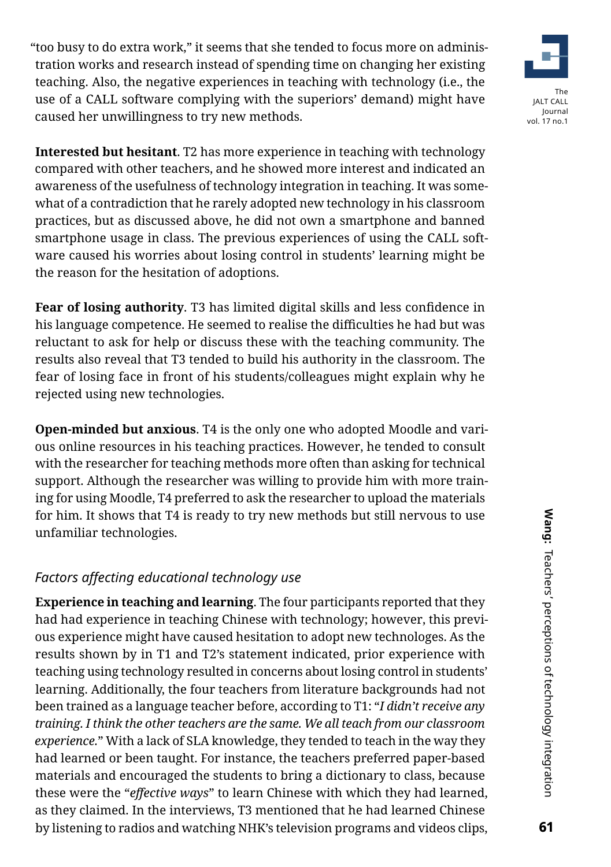"too busy to do extra work," it seems that she tended to focus more on administration works and research instead of spending time on changing her existing teaching. Also, the negative experiences in teaching with technology (i.e., the use of a CALL software complying with the superiors' demand) might have caused her unwillingness to try new methods.



**Fear of losing authority**. T3 has limited digital skills and less confidence in his language competence. He seemed to realise the difficulties he had but was reluctant to ask for help or discuss these with the teaching community. The results also reveal that T3 tended to build his authority in the classroom. The fear of losing face in front of his students/colleagues might explain why he rejected using new technologies.

**Open-minded but anxious**. T4 is the only one who adopted Moodle and various online resources in his teaching practices. However, he tended to consult with the researcher for teaching methods more often than asking for technical support. Although the researcher was willing to provide him with more training for using Moodle, T4 preferred to ask the researcher to upload the materials for him. It shows that T4 is ready to try new methods but still nervous to use unfamiliar technologies.

# *Factors affecting educational technology use*

**Experience in teaching and learning**. The four participants reported that they had had experience in teaching Chinese with technology; however, this previous experience might have caused hesitation to adopt new technologes. As the results shown by in T1 and T2's statement indicated, prior experience with teaching using technology resulted in concerns about losing control in students' learning. Additionally, the four teachers from literature backgrounds had not been trained as a language teacher before, according to T1: "*I didn't receive any training. I think the other teachers are the same. We all teach from our classroom experience.*" With a lack of SLA knowledge, they tended to teach in the way they had learned or been taught. For instance, the teachers preferred paper-based materials and encouraged the students to bring a dictionary to class, because these were the "*effective ways*" to learn Chinese with which they had learned, as they claimed. In the interviews, T3 mentioned that he had learned Chinese by listening to radios and watching NHK's television programs and videos clips,



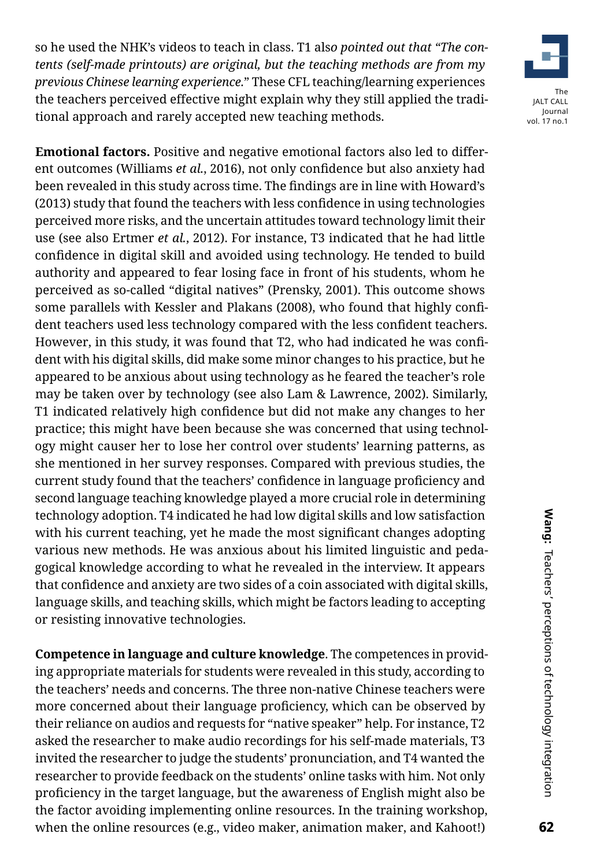so he used the NHK's videos to teach in class. T1 als*o pointed out that "The contents (self-made printouts) are original, but the teaching methods are from my previous Chinese learning experience.*" These CFL teaching/learning experiences the teachers perceived effective might explain why they still applied the traditional approach and rarely accepted new teaching methods.



**Emotional factors.** Positive and negative emotional factors also led to different outcomes (Williams *et al.*, 2016), not only confidence but also anxiety had been revealed in this study across time. The findings are in line with Howard's (2013) study that found the teachers with less confidence in using technologies perceived more risks, and the uncertain attitudes toward technology limit their use (see also Ertmer *et al.*, 2012). For instance, T3 indicated that he had little confidence in digital skill and avoided using technology. He tended to build authority and appeared to fear losing face in front of his students, whom he perceived as so-called "digital natives" (Prensky, 2001). This outcome shows some parallels with Kessler and Plakans (2008), who found that highly confident teachers used less technology compared with the less confident teachers. However, in this study, it was found that T2, who had indicated he was confident with his digital skills, did make some minor changes to his practice, but he appeared to be anxious about using technology as he feared the teacher's role may be taken over by technology (see also Lam & Lawrence, 2002). Similarly, T1 indicated relatively high confidence but did not make any changes to her practice; this might have been because she was concerned that using technology might causer her to lose her control over students' learning patterns, as she mentioned in her survey responses. Compared with previous studies, the current study found that the teachers' confidence in language proficiency and second language teaching knowledge played a more crucial role in determining technology adoption. T4 indicated he had low digital skills and low satisfaction with his current teaching, yet he made the most significant changes adopting various new methods. He was anxious about his limited linguistic and pedagogical knowledge according to what he revealed in the interview. It appears that confidence and anxiety are two sides of a coin associated with digital skills, language skills, and teaching skills, which might be factors leading to accepting or resisting innovative technologies.

**Competence in language and culture knowledge**. The competences in providing appropriate materials for students were revealed in this study, according to the teachers' needs and concerns. The three non-native Chinese teachers were more concerned about their language proficiency, which can be observed by their reliance on audios and requests for "native speaker" help. For instance, T2 asked the researcher to make audio recordings for his self-made materials, T3 invited the researcher to judge the students' pronunciation, and T4 wanted the researcher to provide feedback on the students' online tasks with him. Not only proficiency in the target language, but the awareness of English might also be the factor avoiding implementing online resources. In the training workshop, when the online resources (e.g., video maker, animation maker, and Kahoot!)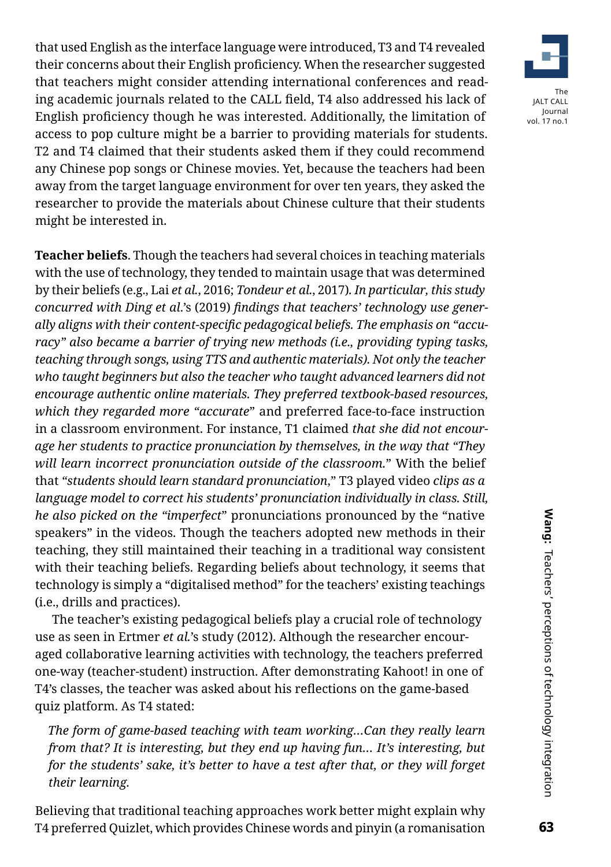that used English as the interface language were introduced, T3 and T4 revealed their concerns about their English proficiency. When the researcher suggested that teachers might consider attending international conferences and reading academic journals related to the CALL field, T4 also addressed his lack of English proficiency though he was interested. Additionally, the limitation of access to pop culture might be a barrier to providing materials for students. T2 and T4 claimed that their students asked them if they could recommend any Chinese pop songs or Chinese movies. Yet, because the teachers had been away from the target language environment for over ten years, they asked the researcher to provide the materials about Chinese culture that their students might be interested in.

**Teacher beliefs**. Though the teachers had several choices in teaching materials with the use of technology, they tended to maintain usage that was determined by their beliefs (e.g., Lai *et al.*, 2016; *Tondeur et al.*, 2017)*. In particular, this study concurred with Ding et al*.'s (2019) *findings that teachers' technology use generally aligns with their content-specific pedagogical beliefs. The emphasis on "accuracy" also became a barrier of trying new methods (i.e., providing typing tasks, teaching through songs, using TTS and authentic materials). Not only the teacher who taught beginners but also the teacher who taught advanced learners did not encourage authentic online materials. They preferred textbook-based resources, which they regarded more "accurate*" and preferred face-to-face instruction in a classroom environment. For instance, T1 claimed *that she did not encourage her students to practice pronunciation by themselves, in the way that "They will learn incorrect pronunciation outside of the classroom.*" With the belief that *"students should learn standard pronunciation*," T3 played video *clips as a language model to correct his students' pronunciation individually in class. Still, he also picked on the "imperfect*" pronunciations pronounced by the "native speakers" in the videos. Though the teachers adopted new methods in their teaching, they still maintained their teaching in a traditional way consistent with their teaching beliefs. Regarding beliefs about technology, it seems that technology is simply a "digitalised method" for the teachers' existing teachings (i.e., drills and practices).

The teacher's existing pedagogical beliefs play a crucial role of technology use as seen in Ertmer *et al.*'s study (2012). Although the researcher encouraged collaborative learning activities with technology, the teachers preferred one-way (teacher-student) instruction. After demonstrating Kahoot! in one of T4's classes, the teacher was asked about his reflections on the game-based quiz platform. As T4 stated:

*The form of game-based teaching with team working…Can they really learn from that? It is interesting, but they end up having fun… It's interesting, but for the students' sake, it's better to have a test after that, or they will forget their learning.*

Believing that traditional teaching approaches work better might explain why T4 preferred Quizlet, which provides Chinese words and pinyin (a romanisation

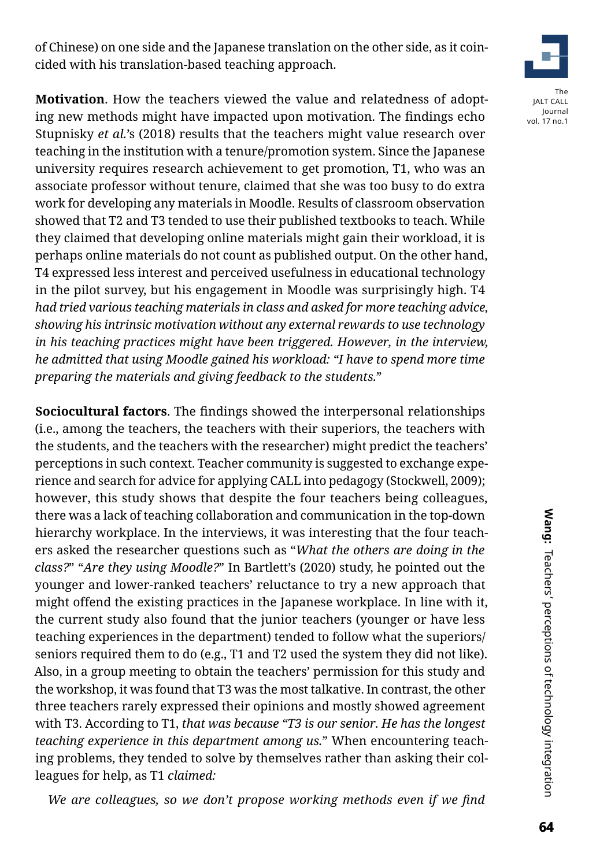of Chinese) on one side and the Japanese translation on the other side, as it coincided with his translation-based teaching approach.

The JALT CALL Journal

vol. 17 no.1

**Motivation**. How the teachers viewed the value and relatedness of adopting new methods might have impacted upon motivation. The findings echo Stupnisky *et al.*'s (2018) results that the teachers might value research over teaching in the institution with a tenure/promotion system. Since the Japanese university requires research achievement to get promotion, T1, who was an associate professor without tenure, claimed that she was too busy to do extra work for developing any materials in Moodle. Results of classroom observation showed that T2 and T3 tended to use their published textbooks to teach. While they claimed that developing online materials might gain their workload, it is perhaps online materials do not count as published output. On the other hand, T4 expressed less interest and perceived usefulness in educational technology in the pilot survey, but his engagement in Moodle was surprisingly high. T4 *had tried various teaching materials in class and asked for more teaching advice, showing his intrinsic motivation without any external rewards to use technology in his teaching practices might have been triggered. However, in the interview, he admitted that using Moodle gained his workload: "I have to spend more time preparing the materials and giving feedback to the students.*"

**Sociocultural factors**. The findings showed the interpersonal relationships (i.e., among the teachers, the teachers with their superiors, the teachers with the students, and the teachers with the researcher) might predict the teachers' perceptions in such context. Teacher community is suggested to exchange experience and search for advice for applying CALL into pedagogy (Stockwell, 2009); however, this study shows that despite the four teachers being colleagues, there was a lack of teaching collaboration and communication in the top-down hierarchy workplace. In the interviews, it was interesting that the four teachers asked the researcher questions such as "*What the others are doing in the class?*" "*Are they using Moodle?*" In Bartlett's (2020) study, he pointed out the younger and lower-ranked teachers' reluctance to try a new approach that might offend the existing practices in the Japanese workplace. In line with it, the current study also found that the junior teachers (younger or have less teaching experiences in the department) tended to follow what the superiors/ seniors required them to do (e.g., T1 and T2 used the system they did not like). Also, in a group meeting to obtain the teachers' permission for this study and the workshop, it was found that T3 was the most talkative. In contrast, the other three teachers rarely expressed their opinions and mostly showed agreement with T3. According to T1, *that was because "T3 is our senior. He has the longest teaching experience in this department among us.*" When encountering teaching problems, they tended to solve by themselves rather than asking their colleagues for help, as T1 *claimed:*

*We are colleagues, so we don't propose working methods even if we find*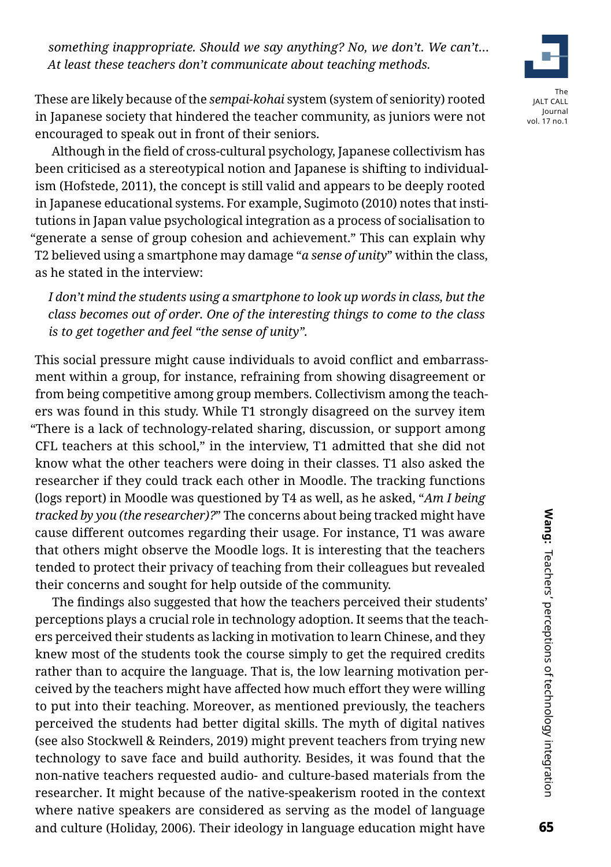*something inappropriate. Should we say anything? No, we don't. We can't… At least these teachers don't communicate about teaching methods.*



vol. 17 no.1

These are likely because of the *sempai-kohai* system (system of seniority) rooted in Japanese society that hindered the teacher community, as juniors were not encouraged to speak out in front of their seniors.

Although in the field of cross-cultural psychology, Japanese collectivism has been criticised as a stereotypical notion and Japanese is shifting to individualism (Hofstede, 2011), the concept is still valid and appears to be deeply rooted in Japanese educational systems. For example, Sugimoto (2010) notes that institutions in Japan value psychological integration as a process of socialisation to "generate a sense of group cohesion and achievement." This can explain why T2 believed using a smartphone may damage "*a sense of unity*" within the class, as he stated in the interview:

*I don't mind the students using a smartphone to look up words in class, but the class becomes out of order. One of the interesting things to come to the class is to get together and feel "the sense of unity".*

This social pressure might cause individuals to avoid conflict and embarrassment within a group, for instance, refraining from showing disagreement or from being competitive among group members. Collectivism among the teachers was found in this study. While T1 strongly disagreed on the survey item "There is a lack of technology-related sharing, discussion, or support among CFL teachers at this school," in the interview, T1 admitted that she did not know what the other teachers were doing in their classes. T1 also asked the researcher if they could track each other in Moodle. The tracking functions (logs report) in Moodle was questioned by T4 as well, as he asked, "*Am I being tracked by you (the researcher)?*" The concerns about being tracked might have cause different outcomes regarding their usage. For instance, T1 was aware that others might observe the Moodle logs. It is interesting that the teachers tended to protect their privacy of teaching from their colleagues but revealed their concerns and sought for help outside of the community.

The findings also suggested that how the teachers perceived their students' perceptions plays a crucial role in technology adoption. It seems that the teachers perceived their students as lacking in motivation to learn Chinese, and they knew most of the students took the course simply to get the required credits rather than to acquire the language. That is, the low learning motivation perceived by the teachers might have affected how much effort they were willing to put into their teaching. Moreover, as mentioned previously, the teachers perceived the students had better digital skills. The myth of digital natives (see also Stockwell & Reinders, 2019) might prevent teachers from trying new technology to save face and build authority. Besides, it was found that the non-native teachers requested audio- and culture-based materials from the researcher. It might because of the native-speakerism rooted in the context where native speakers are considered as serving as the model of language and culture (Holiday, 2006). Their ideology in language education might have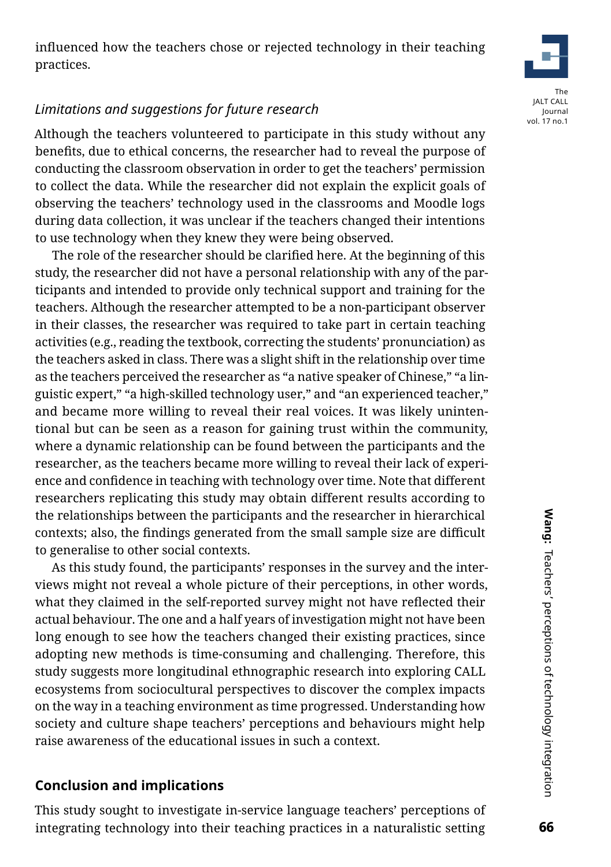# *Limitations and suggestions for future research*

Although the teachers volunteered to participate in this study without any benefits, due to ethical concerns, the researcher had to reveal the purpose of conducting the classroom observation in order to get the teachers' permission to collect the data. While the researcher did not explain the explicit goals of observing the teachers' technology used in the classrooms and Moodle logs during data collection, it was unclear if the teachers changed their intentions to use technology when they knew they were being observed.

The role of the researcher should be clarified here. At the beginning of this study, the researcher did not have a personal relationship with any of the participants and intended to provide only technical support and training for the teachers. Although the researcher attempted to be a non-participant observer in their classes, the researcher was required to take part in certain teaching activities (e.g., reading the textbook, correcting the students' pronunciation) as the teachers asked in class. There was a slight shift in the relationship over time as the teachers perceived the researcher as "a native speaker of Chinese," "a linguistic expert," "a high-skilled technology user," and "an experienced teacher," and became more willing to reveal their real voices. It was likely unintentional but can be seen as a reason for gaining trust within the community, where a dynamic relationship can be found between the participants and the researcher, as the teachers became more willing to reveal their lack of experience and confidence in teaching with technology over time. Note that different researchers replicating this study may obtain different results according to the relationships between the participants and the researcher in hierarchical contexts; also, the findings generated from the small sample size are difficult to generalise to other social contexts.

As this study found, the participants' responses in the survey and the interviews might not reveal a whole picture of their perceptions, in other words, what they claimed in the self-reported survey might not have reflected their actual behaviour. The one and a half years of investigation might not have been long enough to see how the teachers changed their existing practices, since adopting new methods is time-consuming and challenging. Therefore, this study suggests more longitudinal ethnographic research into exploring CALL ecosystems from sociocultural perspectives to discover the complex impacts on the way in a teaching environment as time progressed. Understanding how society and culture shape teachers' perceptions and behaviours might help raise awareness of the educational issues in such a context.

# **Conclusion and implications**

This study sought to investigate in-service language teachers' perceptions of integrating technology into their teaching practices in a naturalistic setting

# **Wang:** Teachers' perceptions of technology integration **6** Wang: Teachers' perceptions of technology integration Teachers' perceptions of technology integration

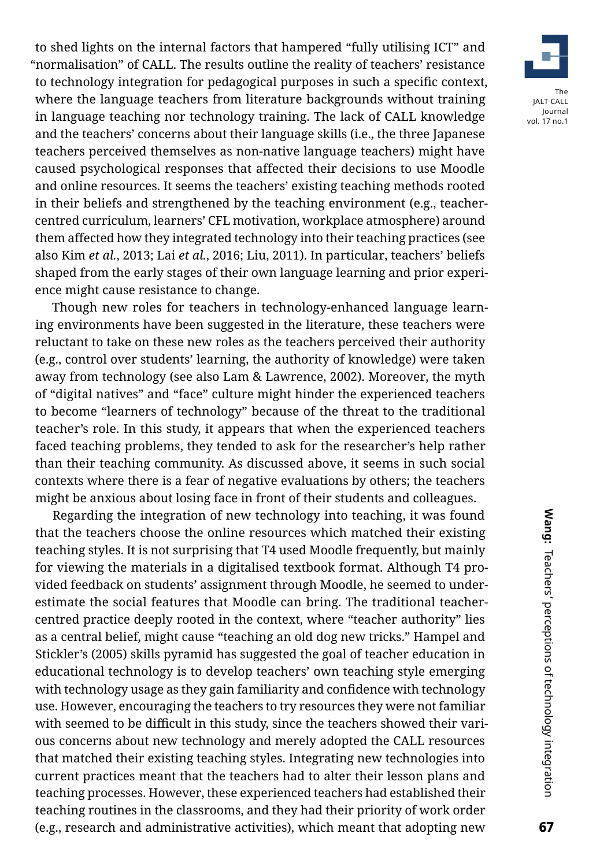to shed lights on the internal factors that hampered "fully utilising ICT" and "normalisation" of CALL. The results outline the reality of teachers' resistance to technology integration for pedagogical purposes in such a specific context, where the language teachers from literature backgrounds without training in language teaching nor technology training. The lack of CALL knowledge and the teachers' concerns about their language skills (i.e., the three Japanese teachers perceived themselves as non-native language teachers) might have caused psychological responses that affected their decisions to use Moodle and online resources. It seems the teachers' existing teaching methods rooted in their beliefs and strengthened by the teaching environment (e.g., teachercentred curriculum, learners' CFL motivation, workplace atmosphere) around them affected how they integrated technology into their teaching practices (see also Kim *et al.*, 2013; Lai *et al.*, 2016; Liu, 2011). In particular, teachers' beliefs shaped from the early stages of their own language learning and prior experience might cause resistance to change.

Though new roles for teachers in technology-enhanced language learning environments have been suggested in the literature, these teachers were reluctant to take on these new roles as the teachers perceived their authority (e.g., control over students' learning, the authority of knowledge) were taken away from technology (see also Lam & Lawrence, 2002). Moreover, the myth of "digital natives" and "face" culture might hinder the experienced teachers to become "learners of technology" because of the threat to the traditional teacher's role. In this study, it appears that when the experienced teachers faced teaching problems, they tended to ask for the researcher's help rather than their teaching community. As discussed above, it seems in such social contexts where there is a fear of negative evaluations by others; the teachers might be anxious about losing face in front of their students and colleagues.

Regarding the integration of new technology into teaching, it was found that the teachers choose the online resources which matched their existing teaching styles. It is not surprising that T4 used Moodle frequently, but mainly for viewing the materials in a digitalised textbook format. Although T4 provided feedback on students' assignment through Moodle, he seemed to underestimate the social features that Moodle can bring. The traditional teachercentred practice deeply rooted in the context, where "teacher authority" lies as a central belief, might cause "teaching an old dog new tricks." Hampel and Stickler's (2005) skills pyramid has suggested the goal of teacher education in educational technology is to develop teachers' own teaching style emerging with technology usage as they gain familiarity and confidence with technology use. However, encouraging the teachers to try resources they were not familiar with seemed to be difficult in this study, since the teachers showed their various concerns about new technology and merely adopted the CALL resources that matched their existing teaching styles. Integrating new technologies into current practices meant that the teachers had to alter their lesson plans and teaching processes. However, these experienced teachers had established their teaching routines in the classrooms, and they had their priority of work order (e.g., research and administrative activities), which meant that adopting new

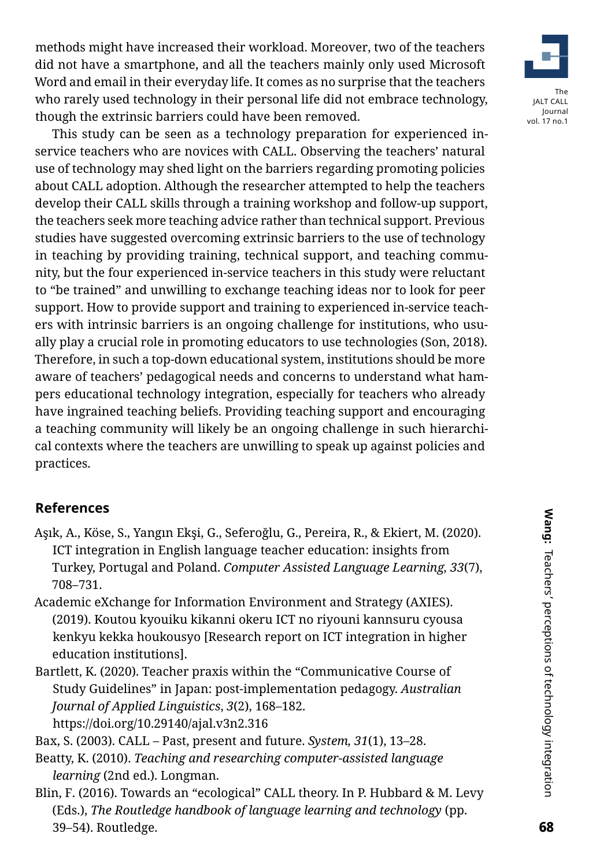methods might have increased their workload. Moreover, two of the teachers did not have a smartphone, and all the teachers mainly only used Microsoft Word and email in their everyday life. It comes as no surprise that the teachers who rarely used technology in their personal life did not embrace technology, though the extrinsic barriers could have been removed.



This study can be seen as a technology preparation for experienced inservice teachers who are novices with CALL. Observing the teachers' natural use of technology may shed light on the barriers regarding promoting policies about CALL adoption. Although the researcher attempted to help the teachers develop their CALL skills through a training workshop and follow-up support, the teachers seek more teaching advice rather than technical support. Previous studies have suggested overcoming extrinsic barriers to the use of technology in teaching by providing training, technical support, and teaching community, but the four experienced in-service teachers in this study were reluctant to "be trained" and unwilling to exchange teaching ideas nor to look for peer support. How to provide support and training to experienced in-service teachers with intrinsic barriers is an ongoing challenge for institutions, who usually play a crucial role in promoting educators to use technologies (Son, 2018). Therefore, in such a top-down educational system, institutions should be more aware of teachers' pedagogical needs and concerns to understand what hampers educational technology integration, especially for teachers who already have ingrained teaching beliefs. Providing teaching support and encouraging a teaching community will likely be an ongoing challenge in such hierarchical contexts where the teachers are unwilling to speak up against policies and practices.

# **References**

- Aşık, A., Köse, S., Yangın Ekşi, G., Seferoğlu, G., Pereira, R., & Ekiert, M. (2020). ICT integration in English language teacher education: insights from Turkey, Portugal and Poland. *Computer Assisted Language Learning, 33*(7), 708–731.
- Academic eXchange for Information Environment and Strategy (AXIES). (2019). Koutou kyouiku kikanni okeru ICT no riyouni kannsuru cyousa kenkyu kekka houkousyo [Research report on ICT integration in higher education institutions].
- Bartlett, K. (2020). Teacher praxis within the "Communicative Course of Study Guidelines" in Japan: post-implementation pedagogy. *Australian Journal of Applied Linguistics*, *3*(2), 168–182. https://doi.org/10.29140/ajal.v3n2.316

Bax, S. (2003). CALL – Past, present and future. *System, 31*(1), 13–28.

- Beatty, K. (2010). *Teaching and researching computer-assisted language learning* (2nd ed.). Longman.
- Blin, F. (2016). Towards an "ecological" CALL theory. In P. Hubbard & M. Levy (Eds.), *The Routledge handbook of language learning and technology* (pp. 39–54). Routledge.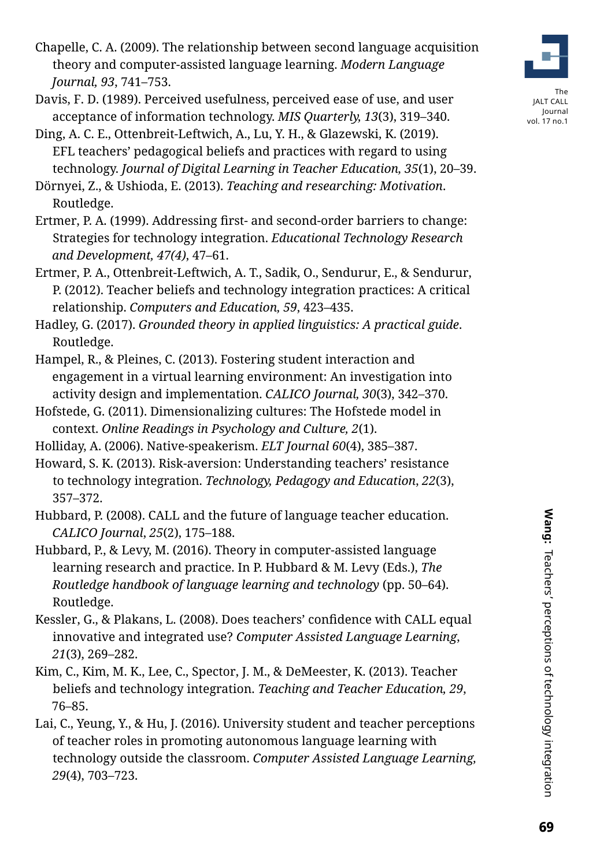**Wang:** Teachers' perceptions of technology integration **6** Wang: Teachers' perceptions of technology integration Teachers' perceptions of technology integration

- Chapelle, C. A. (2009). The relationship between second language acquisition theory and computer-assisted language learning. *Modern Language Journal, 93*, 741–753.
- Davis, F. D. (1989). Perceived usefulness, perceived ease of use, and user acceptance of information technology. *MIS Quarterly, 13*(3), 319–340.
- Ding, A. C. E., Ottenbreit-Leftwich, A., Lu, Y. H., & Glazewski, K. (2019). EFL teachers' pedagogical beliefs and practices with regard to using technology. *Journal of Digital Learning in Teacher Education, 35*(1), 20–39.

Dörnyei, Z., & Ushioda, E. (2013). *Teaching and researching: Motivation*. Routledge.

- Ertmer, P. A. (1999). Addressing first- and second-order barriers to change: Strategies for technology integration. *Educational Technology Research and Development, 47(4)*, 47–61.
- Ertmer, P. A., Ottenbreit-Leftwich, A. T., Sadik, O., Sendurur, E., & Sendurur, P. (2012). Teacher beliefs and technology integration practices: A critical relationship. *Computers and Education, 59*, 423–435.

Hadley, G. (2017). *Grounded theory in applied linguistics: A practical guide*. Routledge.

- Hampel, R., & Pleines, C. (2013). Fostering student interaction and engagement in a virtual learning environment: An investigation into activity design and implementation. *CALICO Journal, 30*(3), 342–370.
- Hofstede, G. (2011). Dimensionalizing cultures: The Hofstede model in context. *Online Readings in Psychology and Culture, 2*(1).
- Holliday, A. (2006). Native-speakerism. *ELT Journal 60*(4), 385–387.

Howard, S. K. (2013). Risk-aversion: Understanding teachers' resistance to technology integration. *Technology, Pedagogy and Education*, *22*(3), 357–372.

Hubbard, P. (2008). CALL and the future of language teacher education. *CALICO Journal*, *25*(2), 175–188.

- Hubbard, P., & Levy, M. (2016). Theory in computer-assisted language learning research and practice. In P. Hubbard & M. Levy (Eds.), *The Routledge handbook of language learning and technology* (pp. 50–64). Routledge.
- Kessler, G., & Plakans, L. (2008). Does teachers' confidence with CALL equal innovative and integrated use? *Computer Assisted Language Learning*, *21*(3), 269–282.
- Kim, C., Kim, M. K., Lee, C., Spector, J. M., & DeMeester, K. (2013). Teacher beliefs and technology integration. *Teaching and Teacher Education, 29*, 76–85.
- Lai, C., Yeung, Y., & Hu, J. (2016). University student and teacher perceptions of teacher roles in promoting autonomous language learning with technology outside the classroom. *Computer Assisted Language Learning, 29*(4), 703–723.



The JALT CALL Journal vol. 17 no.1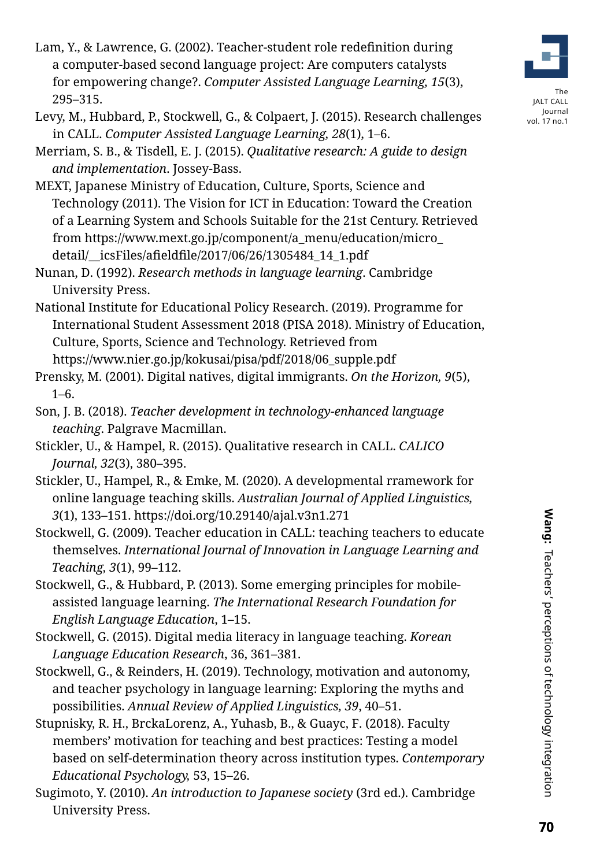- Lam, Y., & Lawrence, G. (2002). Teacher-student role redefinition during a computer-based second language project: Are computers catalysts for empowering change?. *Computer Assisted Language Learning, 15*(3), 295–315.
- Levy, M., Hubbard, P., Stockwell, G., & Colpaert, J. (2015). Research challenges in CALL. *Computer Assisted Language Learning, 28*(1), 1–6.
- Merriam, S. B., & Tisdell, E. J. (2015). *Qualitative research: A guide to design and implementation*. Jossey-Bass.
- MEXT, Japanese Ministry of Education, Culture, Sports, Science and Technology (2011). The Vision for ICT in Education: Toward the Creation of a Learning System and Schools Suitable for the 21st Century. Retrieved from [https://www.mext.go.jp/component/a\\_menu/education/micro\\_](https://www.mext.go.jp/component/a_menu/education/micro_detail/__icsFiles/afieldfile/2017/06/26/1305484_14_1.pdf) [detail/\\_\\_icsFiles/afieldfile/2017/06/26/1305484\\_14\\_1.pdf](https://www.mext.go.jp/component/a_menu/education/micro_detail/__icsFiles/afieldfile/2017/06/26/1305484_14_1.pdf)
- Nunan, D. (1992). *Research methods in language learning*. Cambridge University Press.
- National Institute for Educational Policy Research. (2019). Programme for International Student Assessment 2018 (PISA 2018). Ministry of Education, Culture, Sports, Science and Technology. Retrieved from https://www.nier.go.jp/kokusai/pisa/pdf/2018/06\_supple.pdf
- Prensky, M. (2001). Digital natives, digital immigrants. *On the Horizon, 9*(5), 1–6.
- Son, J. B. (2018). *Teacher development in technology-enhanced language teaching*. Palgrave Macmillan.
- Stickler, U., & Hampel, R. (2015). Qualitative research in CALL. *CALICO Journal, 32*(3), 380–395.
- Stickler, U., Hampel, R., & Emke, M. (2020). A developmental rramework for online language teaching skills. *Australian Journal of Applied Linguistics, 3*(1), 133–151. https://doi.org/10.29140/ajal.v3n1.271
- Stockwell, G. (2009). Teacher education in CALL: teaching teachers to educate themselves. *International Journal of Innovation in Language Learning and Teaching, 3*(1), 99–112.
- Stockwell, G., & Hubbard, P. (2013). Some emerging principles for mobileassisted language learning. *The International Research Foundation for English Language Education*, 1–15.
- Stockwell, G. (2015). Digital media literacy in language teaching. *Korean Language Education Research*, 36, 361–381.
- Stockwell, G., & Reinders, H. (2019). Technology, motivation and autonomy, and teacher psychology in language learning: Exploring the myths and possibilities. *Annual Review of Applied Linguistics, 39*, 40–51.
- Stupnisky, R. H., BrckaLorenz, A., Yuhasb, B., & Guayc, F. (2018). Faculty members' motivation for teaching and best practices: Testing a model based on self-determination theory across institution types. *Contemporary Educational Psychology,* 53, 15–26.
- Sugimoto, Y. (2010). *An introduction to Japanese society* (3rd ed.). Cambridge University Press.